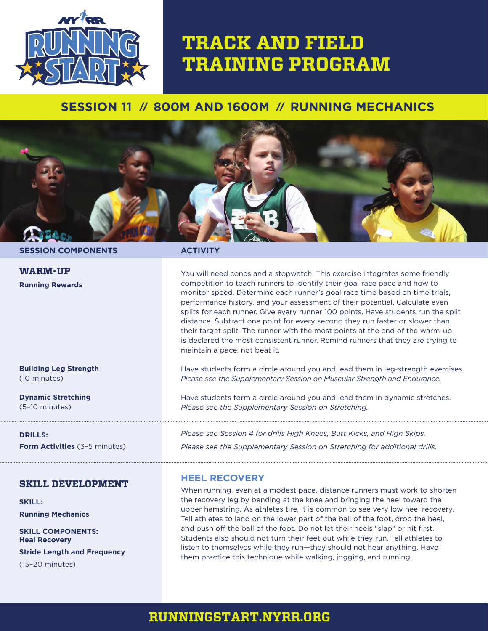

# **TRACK AND FIELD TRAINING PROGRAM**

# **SESSION 11 // 800M AND 1600M // RUNNING MECHANICS**



**SESSION COMPONENTS ACTIVITY**

**WARM-UP Running Rewards**

You will need cones and a stopwatch. This exercise integrates some friendly competition to teach runners to identify their goal race pace and how to monitor speed. Determine each runner's goal race time based on time trials, performance history, and your assessment of their potential. Calculate even splits for each runner. Give every runner 100 points. Have students run the split distance. Subtract one point for every second they run faster or slower than their target split. The runner with the most points at the end of the warm-up is declared the most consistent runner. Remind runners that they are trying to maintain a pace, not beat it.

Have students form a circle around you and lead them in leg-strength exercises. *Please see the Supplementary Session on Muscular Strength and Endurance.*

Have students form a circle around you and lead them in dynamic stretches. *Please see the Supplementary Session on Stretching.*

*Please see Session 4 for drills High Knees, Butt Kicks, and High Skips. Please see the Supplementary Session on Stretching for additional drills.*

## **HEEL RECOVERY**

When running, even at a modest pace, distance runners must work to shorten the recovery leg by bending at the knee and bringing the heel toward the upper hamstring. As athletes tire, it is common to see very low heel recovery. Tell athletes to land on the lower part of the ball of the foot, drop the heel, and push off the ball of the foot. Do not let their heels "slap" or hit first. Students also should not turn their feet out while they run. Tell athletes to listen to themselves while they run—they should not hear anything. Have them practice this technique while walking, jogging, and running.

#### **Building Leg Strength**  (10 minutes)

**Dynamic Stretching**  (5–10 minutes)

**DRILLS: Form Activities** (3-5 minutes)

### **SKILL DEVELOPMENT**

**SKILL: Running Mechanics**

**SKILL COMPONENTS: Heal Recovery Stride Length and Frequency** (15–20 minutes)

## **RUNNINGSTART.NYRR.ORG**